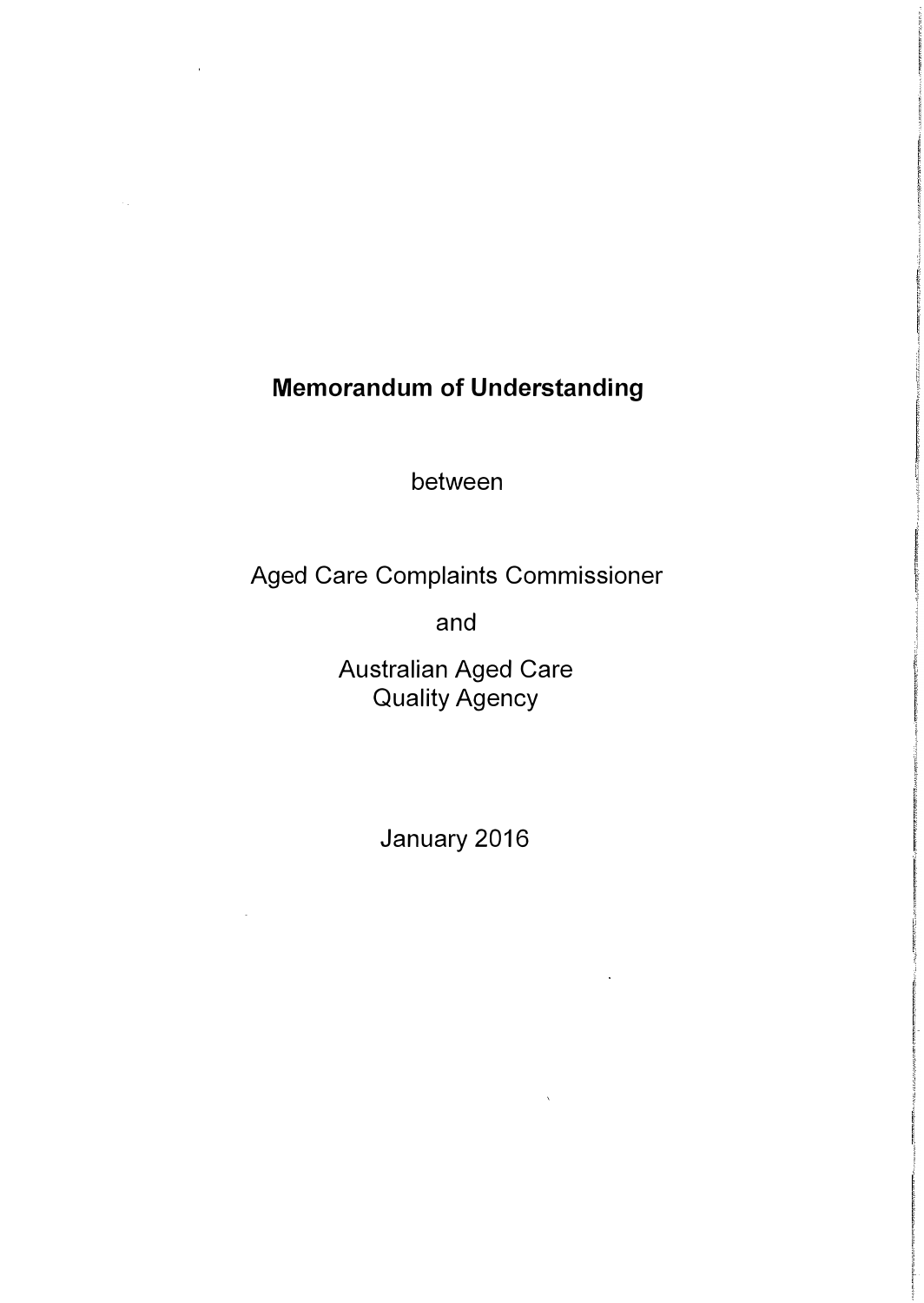# Memorandum of Understanding

between

Aged Care Complaints Commissioner

and

Australian Aged Care Quality Agency

January 2016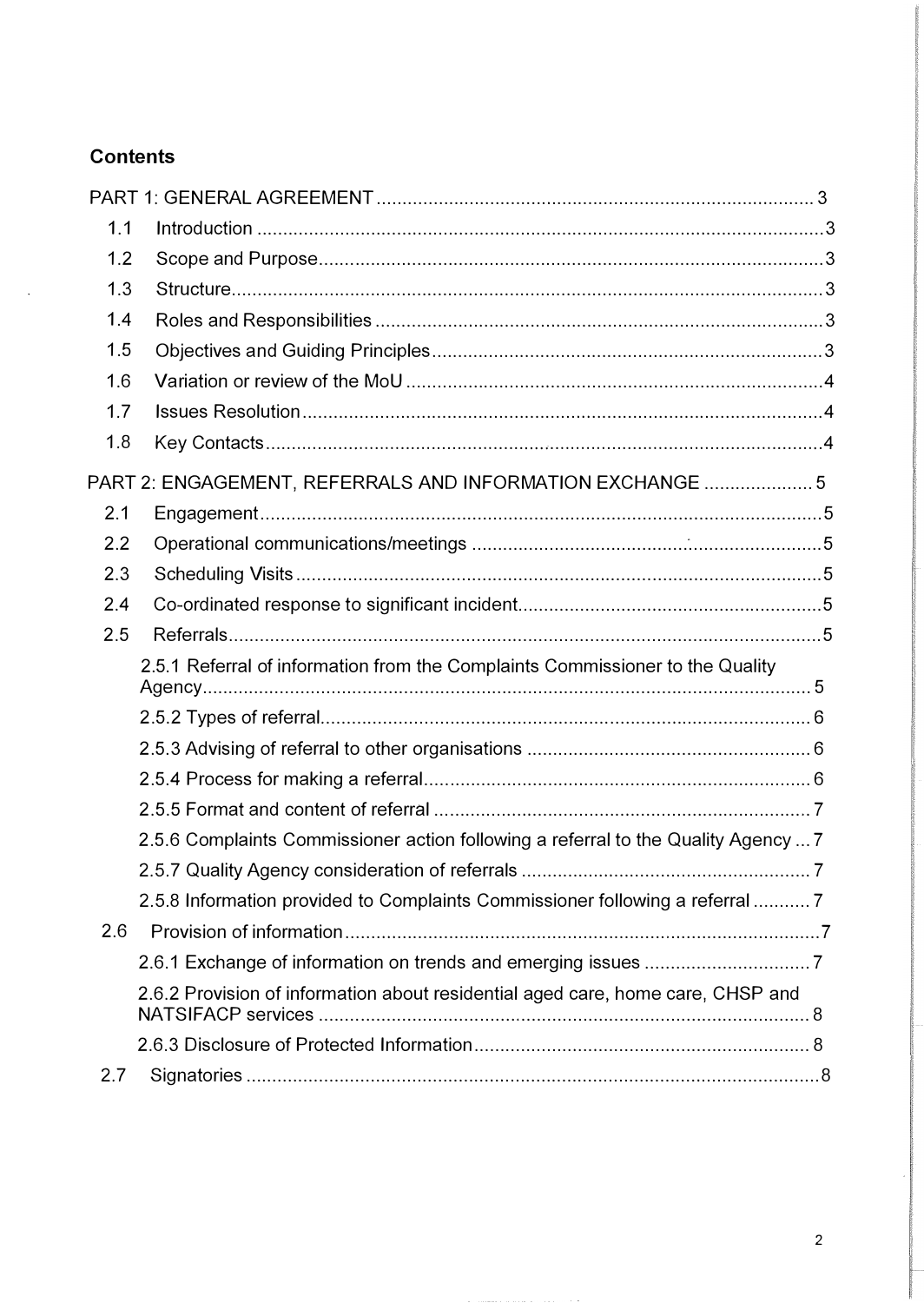# **Contents**

 $\ddot{\phantom{a}}$ 

| 1.1 |                                                                                    |  |
|-----|------------------------------------------------------------------------------------|--|
| 1.2 |                                                                                    |  |
| 1.3 |                                                                                    |  |
| 1.4 |                                                                                    |  |
| 1.5 |                                                                                    |  |
| 1.6 |                                                                                    |  |
| 1.7 |                                                                                    |  |
| 1.8 |                                                                                    |  |
|     | PART 2: ENGAGEMENT, REFERRALS AND INFORMATION EXCHANGE  5                          |  |
| 2.1 |                                                                                    |  |
| 2.2 |                                                                                    |  |
| 2.3 |                                                                                    |  |
| 2.4 |                                                                                    |  |
| 2.5 |                                                                                    |  |
|     | 2.5.1 Referral of information from the Complaints Commissioner to the Quality      |  |
|     |                                                                                    |  |
|     |                                                                                    |  |
|     |                                                                                    |  |
|     |                                                                                    |  |
|     | 2.5.6 Complaints Commissioner action following a referral to the Quality Agency  7 |  |
|     |                                                                                    |  |
|     | 2.5.8 Information provided to Complaints Commissioner following a referral  7      |  |
| 2.6 |                                                                                    |  |
|     |                                                                                    |  |
|     | 2.6.2 Provision of information about residential aged care, home care, CHSP and    |  |
|     |                                                                                    |  |
| 2.7 |                                                                                    |  |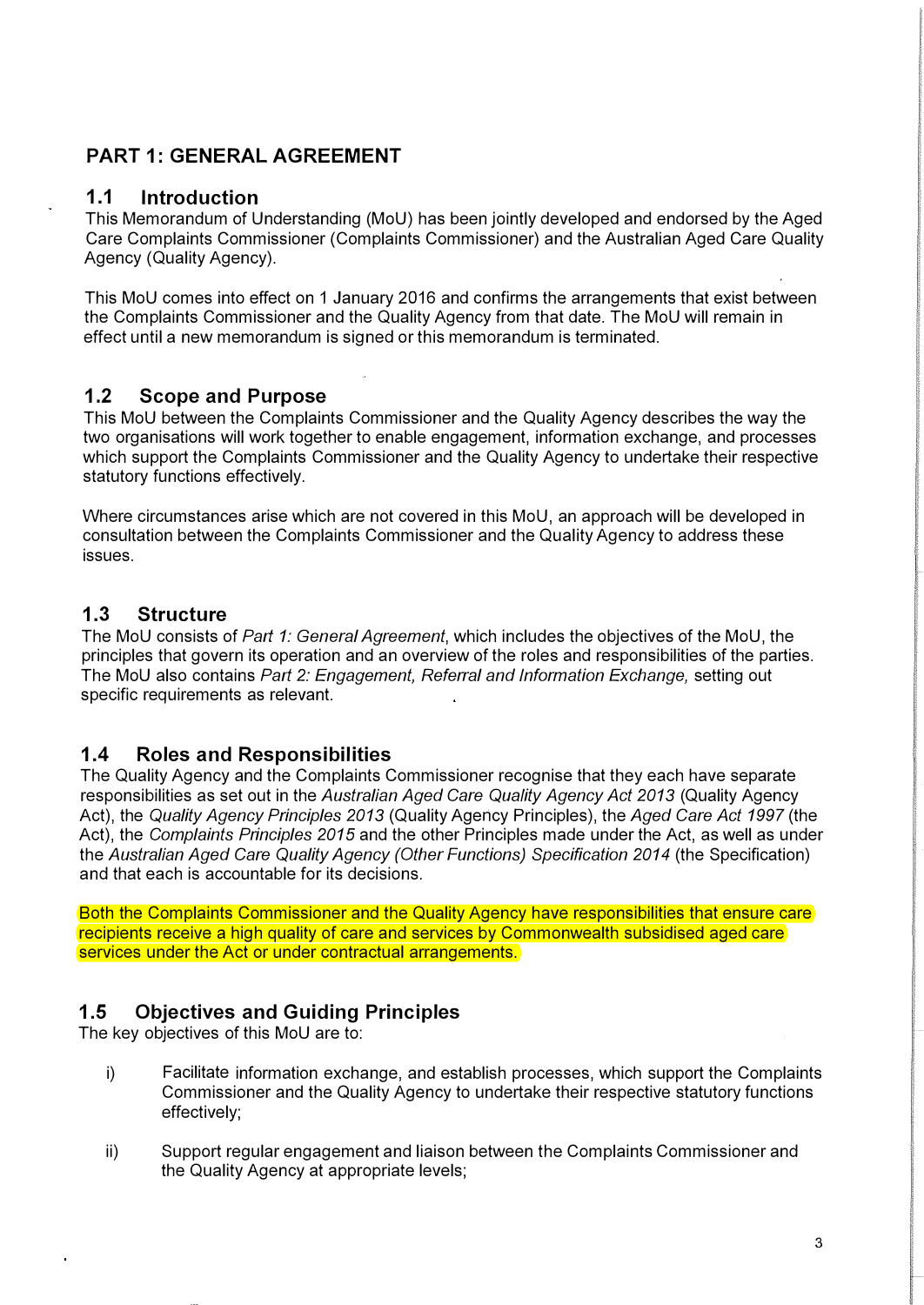# PART 1: GENERAL AGREEMENT

### 1.1 Introduction

This Memorandum of Understanding (MoU) has been jointly developed and endorsed by the Aged Care Complaints Commissioner (Complaints Commissioner) and the Australian Aged Care Quality Agency (Quality Agency).

This MoU comes into effect on 1 January 2016 and confirms the arrangements that exist between the Complaints Commissioner and the Quality Agency from that date. The MoU will remain in effect until a new memorandum is signed or this memorandum is terminated.

### 1.2 Scope and Purpose

This MoU between the Complaints Commissioner and the Quality Agency describes the way the two organisations will work together to enable engagement, information exchange, and processes which support the Complaints Commissioner and the Quality Agency to undertake their respective statutory functions effectively.

Where circumstances arise which are not covered in this MoU, an approach will be developed in consultation between the Complaints Commissioner and the Quality Agency to address these issues.

### 1.3 Structure

The MoU consists of Part 1: General Agreement, which includes the objectives of the MoU, the principles that govern its operation and an overview of the roles and responsibilities of the parties. The MoU also contains Part 2: Engagement, Referral and Information Exchange, setting out specific requirements as relevant.

### 1.4 Roles and Responsibilities

The Quality Agency and the Complaints Commissioner recognise that they each have separate responsibilities as set out in the Australian Aged Care Quality Agency Act 2013 (Quality Agency Act), the Quality Agency Principles 2013 (Quality Agency Principles), the Aged Care Act 1997 (the Act), the Complaints Principles 2015 and the other Principles made under the Act, as well as under the Australian Aged Care Quality Agency (Other Functions) Specification 2014 (the Specification) and that each is accountable for its decisions.

Both the Complaints Commissioner and the Quality Agency have responsibilities that ensure care recipients receive a high quality of care and services by Commonwealth subsidised aged care services under the Act or under contractual arrangements.

# 1.5 Objectives and Guiding Principles

The key objectives of this MoU are to:

- i) Facilitate information exchange, and establish processes, which support the Complaints Commissioner and the Quality Agency to undertake their respective statutory functions effectively;
- ii) Support regular engagement and liaison between the Complaints Commissioner and the Quality Agency at appropriate levels;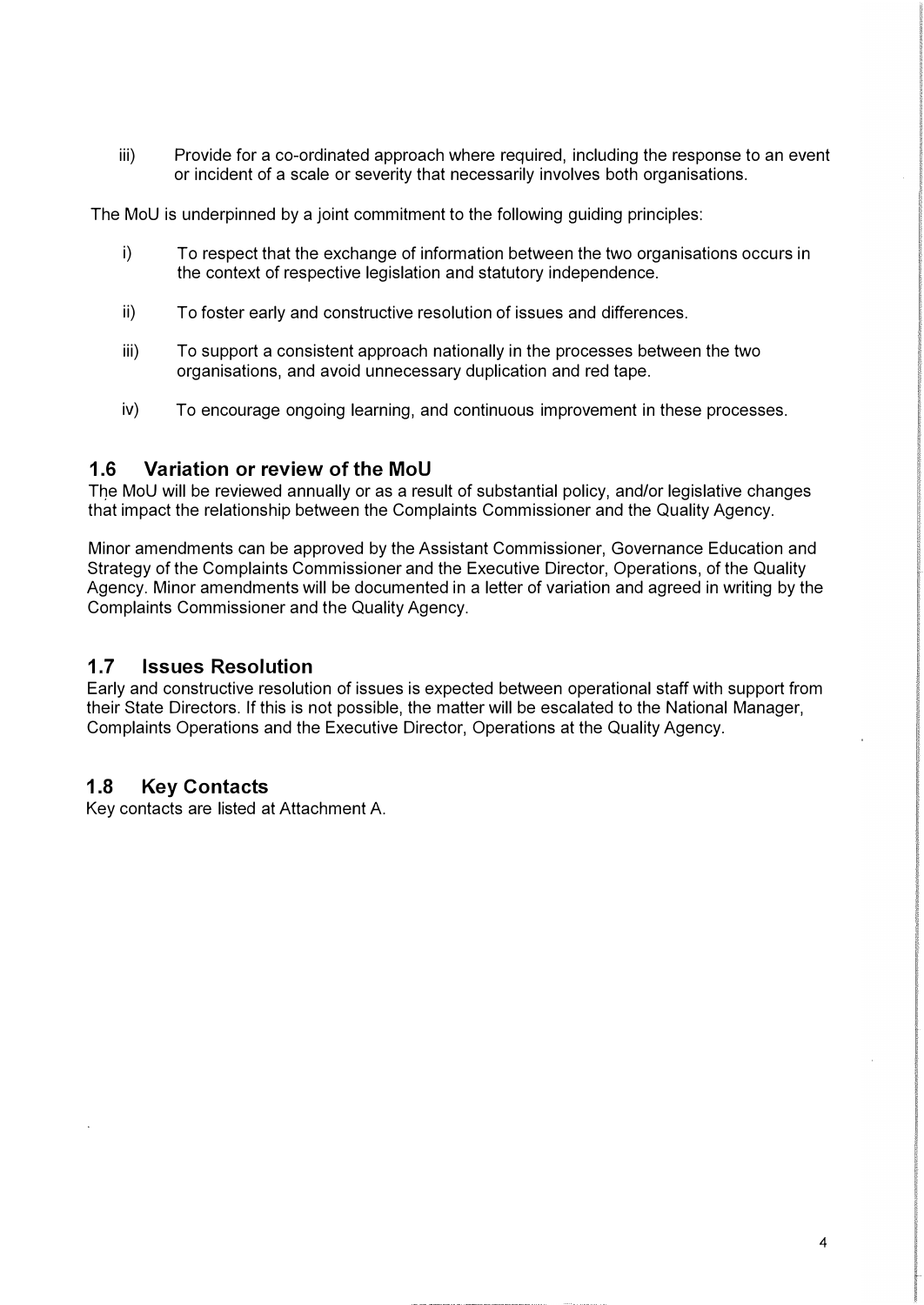iii) Provide for a co-ordinated approach where required, including the response to an event or incident of a scale or severity that necessarily involves both organisations.

The MoU is underpinned by a joint commitment to the following guiding principles:

- i) To respect that the exchange of information between the two organisations occurs in the context of respective legislation and statutory independence.
- ii) To foster early and constructive resolution of issues and differences.
- iii) To support a consistent approach nationally in the processes between the two organisations, and avoid unnecessary duplication and red tape.
- iv) To encourage ongoing learning, and continuous improvement in these processes.

#### 1.6 Variation or review of the MoU

The MoU will be reviewed annually or as a result of substantial policy, and/or legislative changes that impact the relationship between the Complaints Commissioner and the Quality Agency.

Minor amendments can be approved by the Assistant Commissioner, Governance Education and Strategy of the Complaints Commissioner and the Executive Director, Operations, of the Quality Agency. Minor amendments will be documented in a letter of variation and agreed in writing by the Complaints Commissioner and the Quality Agency.

#### 1.7 Issues Resolution

Early and constructive resolution of issues is expected between operational staff with support from their State Directors. If this is not possible, the matter will be escalated to the National Manager, Complaints Operations and the Executive Director, Operations at the Quality Agency.

#### 1.8 Key Contacts

Key contacts are listed at Attachment A.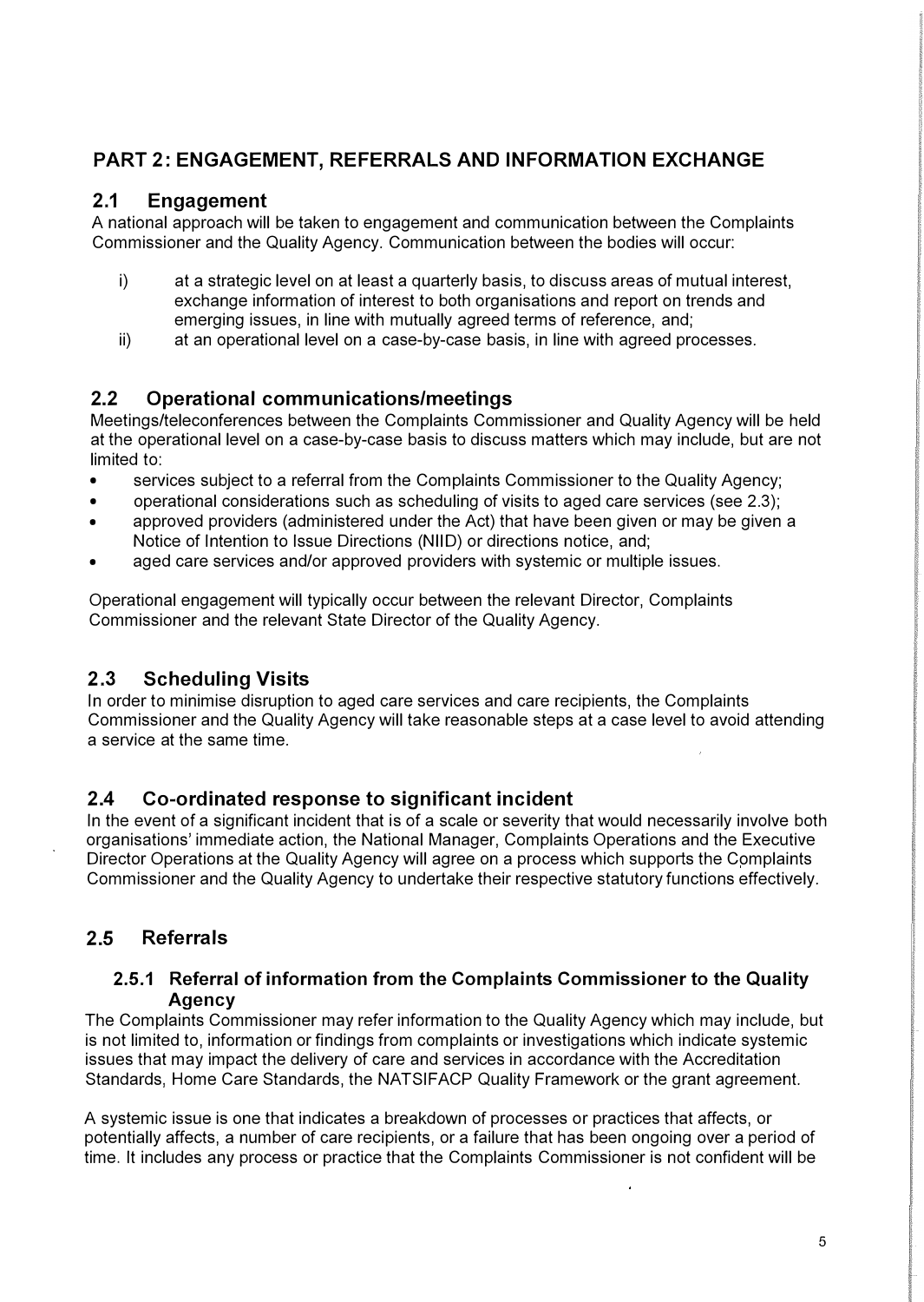# PART 2: ENGAGEMENT, REFERRALS AND INFORMATION EXCHANGE

### 2.1 Engagement

A national approach will be taken to engagement and communication between the Complaints Commissioner and the Quality Agency. Communication between the bodies will occur:

- i) at a strategic level on at least a quarterly basis, to discuss areas of mutual interest, exchange information of interest to both organisations and report on trends and emerging issues, in line with mutually agreed terms of reference, and;
- ii) at an operational level on a case-by-case basis, in line with agreed processes.

# 2.2 Operational communications/meetings

Meetings/teleconferences between the Complaints Commissioner and Quality Agency will be held at the operational level on a case-by-case basis to discuss matters which may include, but are not limited to:

- services subject to a referral from the Complaints Commissioner to the Quality Agency;
- operational considerations such as scheduling of visits to aged care services (see 2.3);
- approved providers (administered under the Act) that have been given or may be given a Notice of Intention to Issue Directions (NIID) or directions notice, and;
- aged care services and/or approved providers with systemic or multiple issues.

Operational engagement will typically occur between the relevant Director, Complaints Commissioner and the relevant State Director of the Quality Agency.

### 2.3 Scheduling Visits

In order to minimise disruption to aged care services and care recipients, the Complaints Commissioner and the Quality Agency will take reasonable steps at a case level to avoid attending a service at the same time.

# 2.4 Co-ordinated response to significant incident

In the event of a significant incident that is of a scale or severity that would necessarily involve both organisations' immediate action, the National Manager, Complaints Operations and the Executive Director Operations at the Quality Agency will agree on a process which supports the Complaints Commissioner and the Quality Agency to undertake their respective statutory functions effectively.

# 2.5 Referrals

#### 2.5.1 Referral of information from the Complaints Commissioner to the Quality **Agency**

The Complaints Commissioner may refer information to the Quality Agency which may include, but is not limited to, information or findings from complaints or investigations which indicate systemic issues that may impact the delivery of care and services in accordance with the Accreditation Standards, Home Care Standards, the NATSIFACP Quality Framework or the grant agreement.

A systemic issue is one that indicates a breakdown of processes or practices that affects, or potentially affects, a number of care recipients, or a failure that has been ongoing over a period of time. It includes any process or practice that the Complaints Commissioner is not confident will be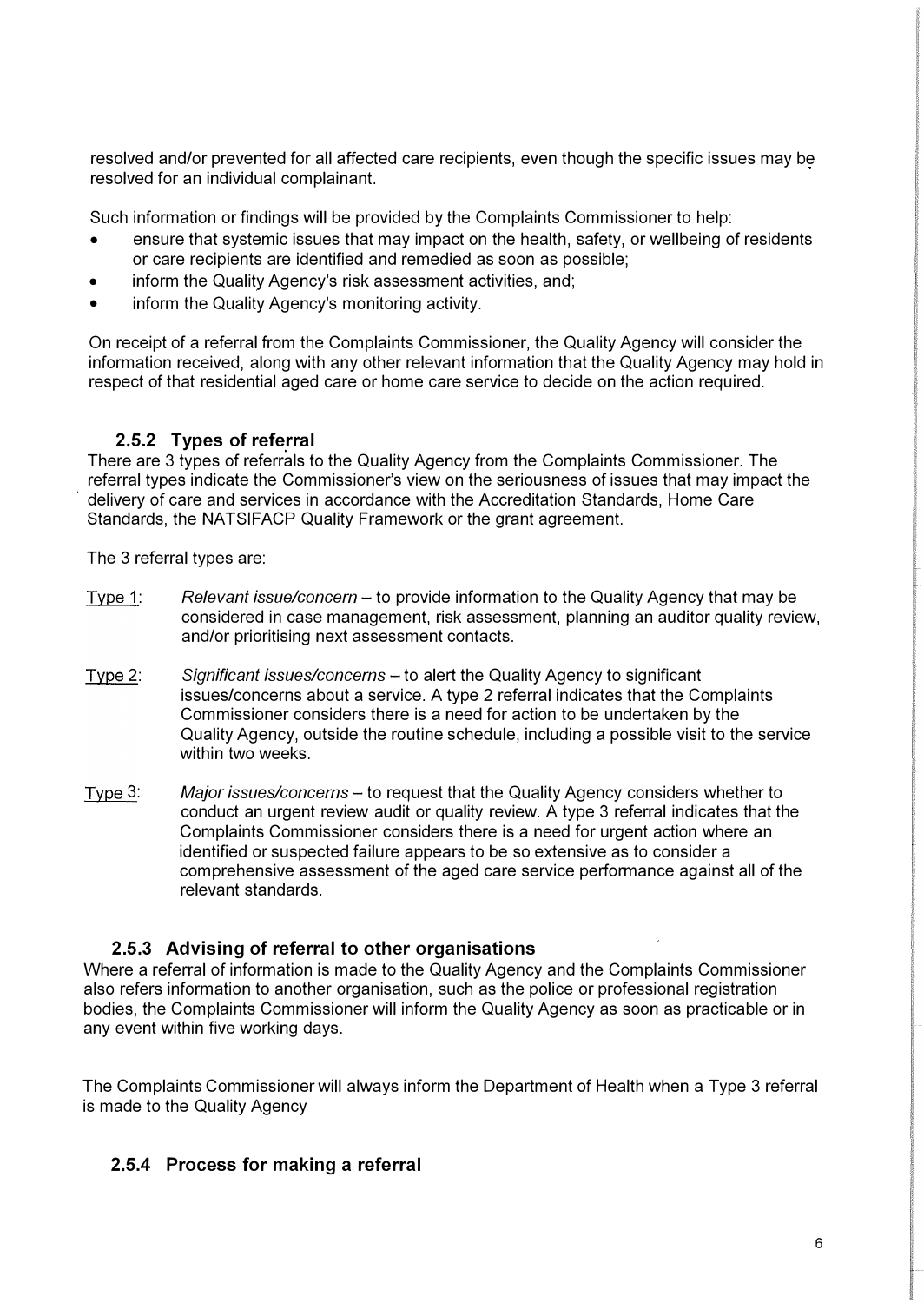resolved and/or prevented for all affected care recipients, even though the specific issues may be resolved for an individual complainant.

Such information or findings will be provided by the Complaints Commissioner to help:

- ensure that systemic issues that may impact on the health, safety, or wellbeing of residents or care recipients are identified and remedied as soon as possible;
- inform the Quality Agency's risk assessment activities, and;
- inform the Quality Agency's monitoring activity.

On receipt of a referral from the Complaints Commissioner, the Quality Agency will consider the information received, along with any other relevant information that the Quality Agency may hold in respect of that residential aged care or home care service to decide on the action required.

#### 2.5.2 Types of referral

There are 3 types of referrals to the Quality Agency from the Complaints Commissioner. The referral types indicate the Commissioner's view on the seriousness of issues that may impact the delivery of care and services in accordance with the Accreditation Standards, Home Care Standards, the NATSIFACP Quality Framework or the grant agreement.

The 3 referral types are:

- Type 1: Relevant issue/concern to provide information to the Quality Agency that may be considered in case management, risk assessment, planning an auditor quality review, and/or prioritising next assessment contacts.
- Type 2: Significant issues/concerns - to alert the Quality Agency to significant issues/concerns about a service. A type 2 referral indicates that the Complaints Commissioner considers there is a need for action to be undertaken by the Quality Agency, outside the routine schedule, including a possible visit to the service within two weeks.
- Type 3: Major issues/concerns - to request that the Quality Agency considers whether to conduct an urgent review audit or quality review. A type 3 referral indicates that the Complaints Commissioner considers there is a need for urgent action where an identified or suspected failure appears to be so extensive as to consider a comprehensive assessment of the aged care service performance against all of the relevant standards.

#### 2.5.3 Advising of referral to other organisations

Where a referral of information is made to the Quality Agency and the Complaints Commissioner also refers information to another organisation, such as the police or professional registration bodies, the Complaints Commissioner will inform the Quality Agency as soon as practicable or in any event within five working days.

The Complaints Commissioner will always inform the Department of Health when a Type 3 referral is made to the Quality Agency

#### 2.5.4 Process for making a referral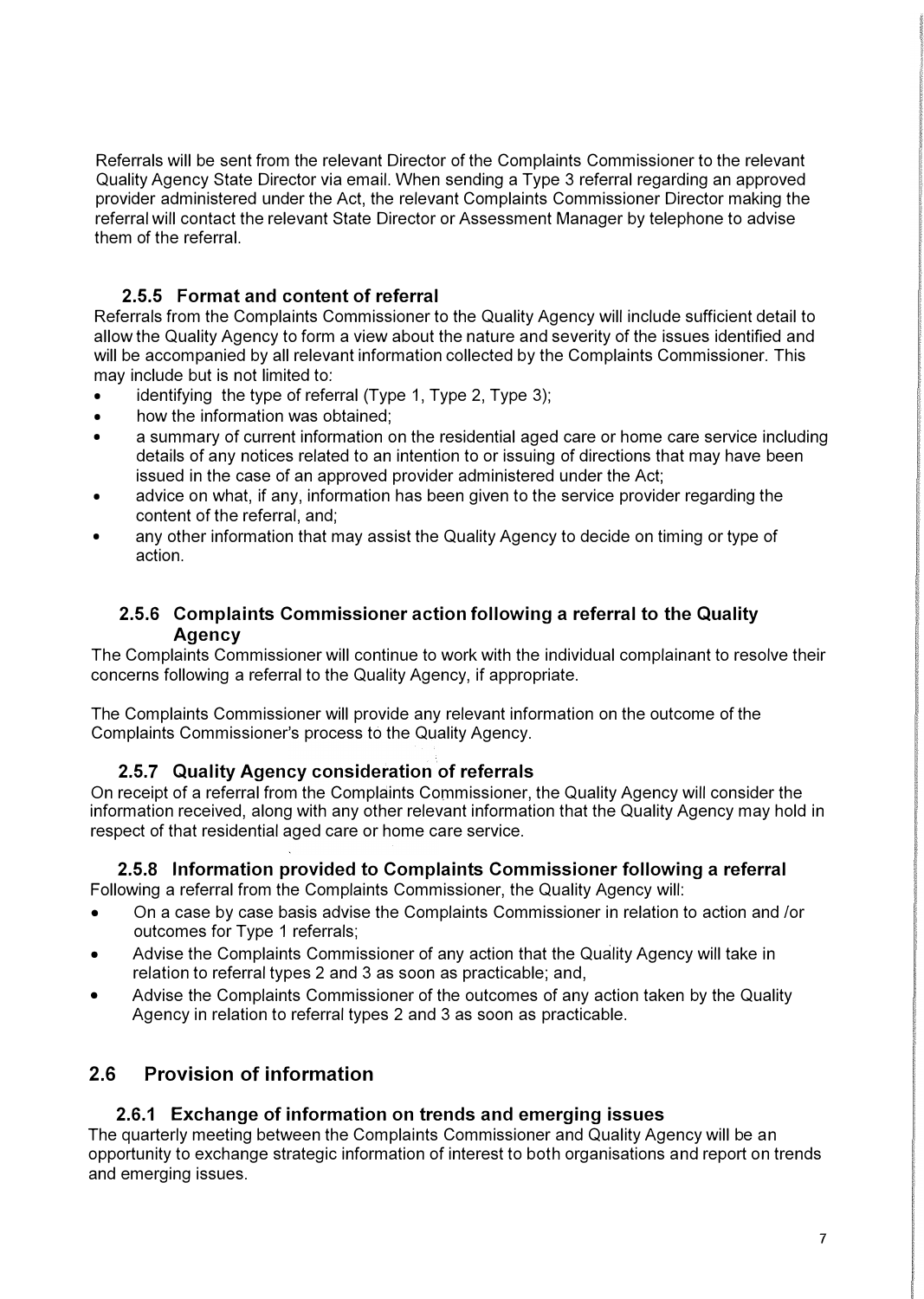Referrals will be sent from the relevant Director of the Complaints Commissioner to the relevant Quality Agency State Director via email. When sending a Type 3 referral regarding an approved provider administered under the Act, the relevant Complaints Commissioner Director making the referral will contact the relevant State Director or Assessment Manager by telephone to advise them of the referral.

### 2.5.5 Format and content of referral

Referrals from the Complaints Commissioner to the Quality Agency will include sufficient detail to allow the Quality Agency to form a view about the nature and severity of the issues identified and will be accompanied by all relevant information collected by the Complaints Commissioner. This may include but is not limited to:

- identifying the type of referral (Type 1, Type 2, Type 3);
- how the information was obtained;
- a summary of current information on the residential aged care or home care service including details of any notices related to an intention to or issuing of directions that may have been issued in the case of an approved provider administered under the Act;
- advice on what, if any, information has been given to the service provider regarding the content of the referral, and;
- any other information that may assist the Quality Agency to decide on timing or type of action.

### 2.5.6 Complaints Commissioner action following a referral to the Quality **Agency**

The Complaints Commissioner will continue to work with the individual complainant to resolve their concerns following a referral to the Quality Agency, if appropriate.

The Complaints Commissioner will provide any relevant information on the outcome of the Complaints Commissioner's process to the Quality Agency.

### 2.5.7 Quality Agency consideration of referrals

On receipt of a referral from the Complaints Commissioner, the Quality Agency will consider the information received, along with any other relevant information that the Quality Agency may hold in respect of that residential aged care or home care service.

# 2.5.8 Information provided to Complaints Commissioner following a referral

Following a referral from the Complaints Commissioner, the Quality Agency will:

- On a case by case basis advise the Complaints Commissioner in relation to action and /or outcomes for Type 1 referrals;
- Advise the Complaints Commissioner of any action that the Quality Agency will take in relation to referral types 2 and 3 as soon as practicable; and,
- Advise the Complaints Commissioner of the outcomes of any action taken by the Quality Agency in relation to referral types 2 and 3 as soon as practicable.

# 2.6 Provision of information

### 2.6.1 Exchange of information on trends and emerging issues

The quarterly meeting between the Complaints Commissioner and Quality Agency will be an opportunity to exchange strategic information of interest to both organisations and report on trends and emerging issues.